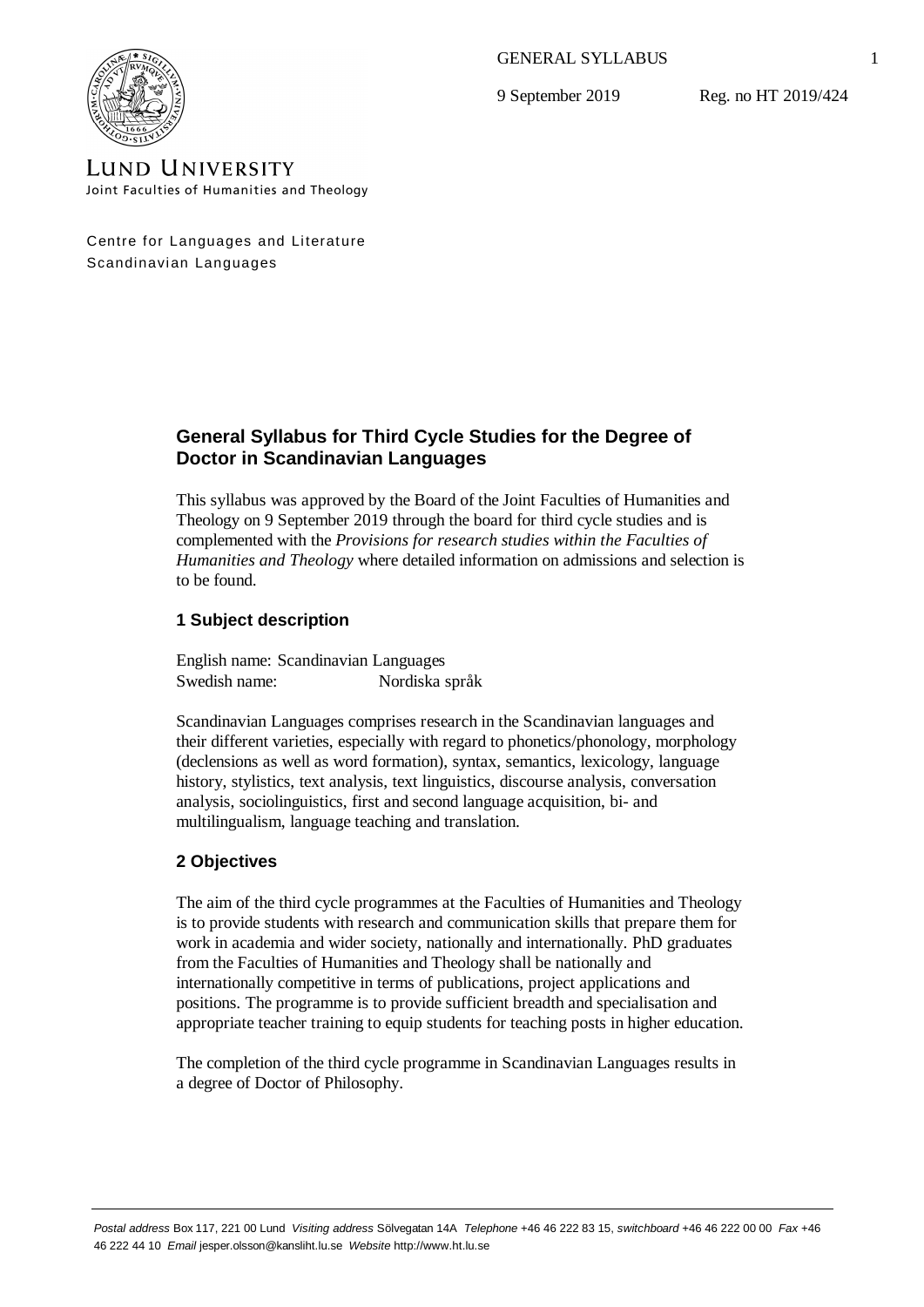GENERAL SYLLABUS

9 September 2019

Reg. no HT 2019/424



**LUND UNIVERSITY** Joint Faculties of Humanities and Theology

Centre for Languages and Literature Scandinavian Languages

# **General Syllabus for Third Cycle Studies for the Degree of Doctor in Scandinavian Languages**

This syllabus was approved by the Board of the Joint Faculties of Humanities and Theology on 9 September 2019 through the board for third cycle studies and is complemented with the *Provisions for research studies within the Faculties of Humanities and Theology* where detailed information on admissions and selection is to be found.

## **1 Subject description**

English name: Scandinavian Languages Swedish name: Nordiska språk

Scandinavian Languages comprises research in the Scandinavian languages and their different varieties, especially with regard to phonetics/phonology, morphology (declensions as well as word formation), syntax, semantics, lexicology, language history, stylistics, text analysis, text linguistics, discourse analysis, conversation analysis, sociolinguistics, first and second language acquisition, bi- and multilingualism, language teaching and translation.

## **2 Objectives**

The aim of the third cycle programmes at the Faculties of Humanities and Theology is to provide students with research and communication skills that prepare them for work in academia and wider society, nationally and internationally. PhD graduates from the Faculties of Humanities and Theology shall be nationally and internationally competitive in terms of publications, project applications and positions. The programme is to provide sufficient breadth and specialisation and appropriate teacher training to equip students for teaching posts in higher education.

The completion of the third cycle programme in Scandinavian Languages results in a degree of Doctor of Philosophy.

1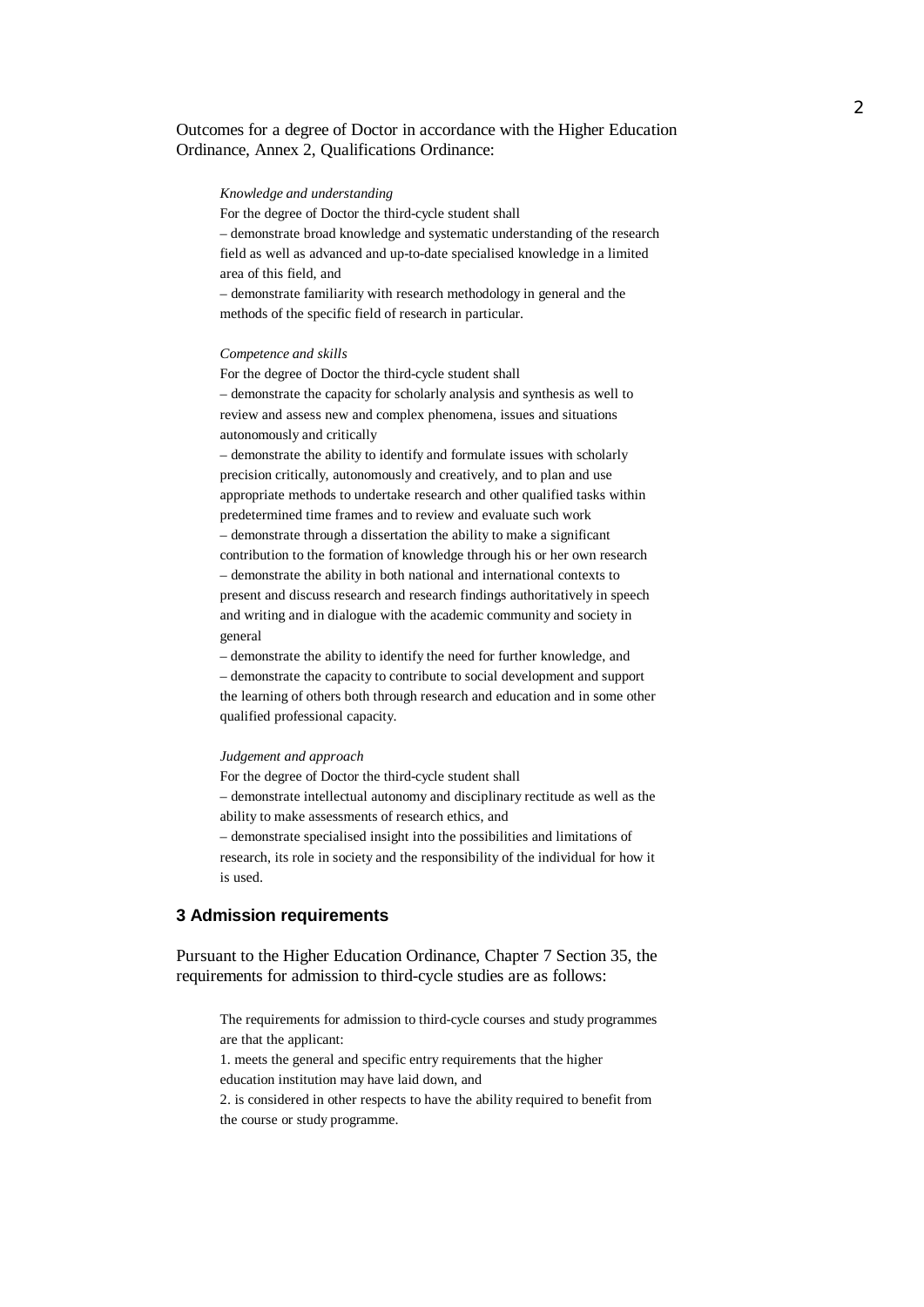## Outcomes for a degree of Doctor in accordance with the Higher Education Ordinance, Annex 2, Qualifications Ordinance:

#### *Knowledge and understanding*

For the degree of Doctor the third-cycle student shall

– demonstrate broad knowledge and systematic understanding of the research field as well as advanced and up-to-date specialised knowledge in a limited area of this field, and

– demonstrate familiarity with research methodology in general and the methods of the specific field of research in particular.

#### *Competence and skills*

For the degree of Doctor the third-cycle student shall – demonstrate the capacity for scholarly analysis and synthesis as well to review and assess new and complex phenomena, issues and situations autonomously and critically

– demonstrate the ability to identify and formulate issues with scholarly precision critically, autonomously and creatively, and to plan and use appropriate methods to undertake research and other qualified tasks within predetermined time frames and to review and evaluate such work – demonstrate through a dissertation the ability to make a significant contribution to the formation of knowledge through his or her own research – demonstrate the ability in both national and international contexts to present and discuss research and research findings authoritatively in speech and writing and in dialogue with the academic community and society in general

– demonstrate the ability to identify the need for further knowledge, and – demonstrate the capacity to contribute to social development and support the learning of others both through research and education and in some other qualified professional capacity.

#### *Judgement and approach*

For the degree of Doctor the third-cycle student shall – demonstrate intellectual autonomy and disciplinary rectitude as well as the ability to make assessments of research ethics, and – demonstrate specialised insight into the possibilities and limitations of research, its role in society and the responsibility of the individual for how it is used.

### **3 Admission requirements**

Pursuant to the Higher Education Ordinance, Chapter 7 Section 35, the requirements for admission to third-cycle studies are as follows:

The requirements for admission to third-cycle courses and study programmes are that the applicant:

1. meets the general and specific entry requirements that the higher education institution may have laid down, and

2. is considered in other respects to have the ability required to benefit from the course or study programme.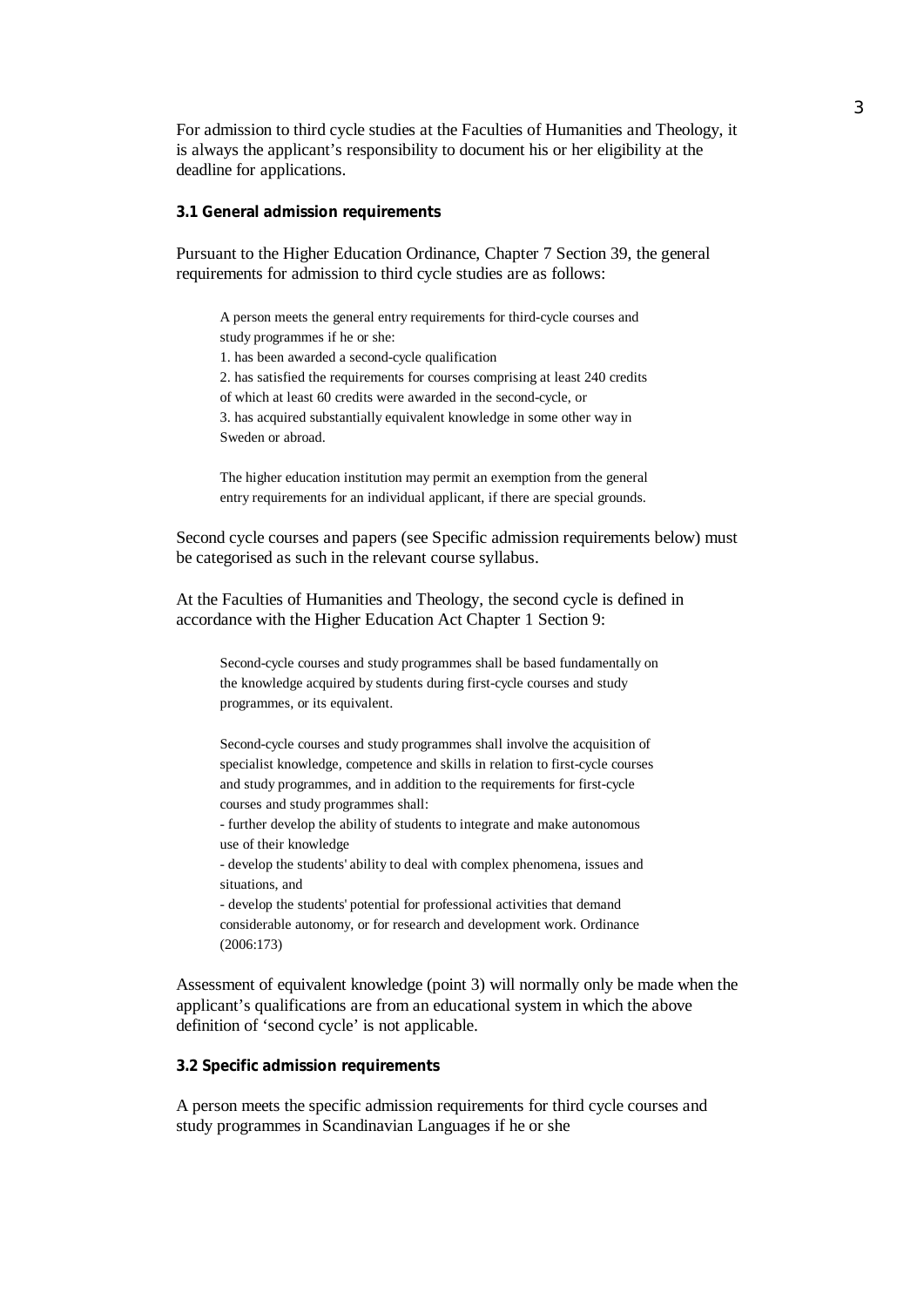For admission to third cycle studies at the Faculties of Humanities and Theology, it is always the applicant's responsibility to document his or her eligibility at the deadline for applications.

**3.1 General admission requirements**

Pursuant to the Higher Education Ordinance, Chapter 7 Section 39, the general requirements for admission to third cycle studies are as follows:

A person meets the general entry requirements for third-cycle courses and study programmes if he or she:

1. has been awarded a second-cycle qualification

2. has satisfied the requirements for courses comprising at least 240 credits

of which at least 60 credits were awarded in the second-cycle, or

3. has acquired substantially equivalent knowledge in some other way in Sweden or abroad.

The higher education institution may permit an exemption from the general entry requirements for an individual applicant, if there are special grounds.

Second cycle courses and papers (see Specific admission requirements below) must be categorised as such in the relevant course syllabus.

At the Faculties of Humanities and Theology, the second cycle is defined in accordance with the Higher Education Act Chapter 1 Section 9:

Second-cycle courses and study programmes shall be based fundamentally on the knowledge acquired by students during first-cycle courses and study programmes, or its equivalent.

Second-cycle courses and study programmes shall involve the acquisition of specialist knowledge, competence and skills in relation to first-cycle courses and study programmes, and in addition to the requirements for first-cycle courses and study programmes shall:

- further develop the ability of students to integrate and make autonomous use of their knowledge

- develop the students' ability to deal with complex phenomena, issues and situations, and

- develop the students' potential for professional activities that demand considerable autonomy, or for research and development work. Ordinance (2006:173)

Assessment of equivalent knowledge (point 3) will normally only be made when the applicant's qualifications are from an educational system in which the above definition of 'second cycle' is not applicable.

**3.2 Specific admission requirements**

A person meets the specific admission requirements for third cycle courses and study programmes in Scandinavian Languages if he or she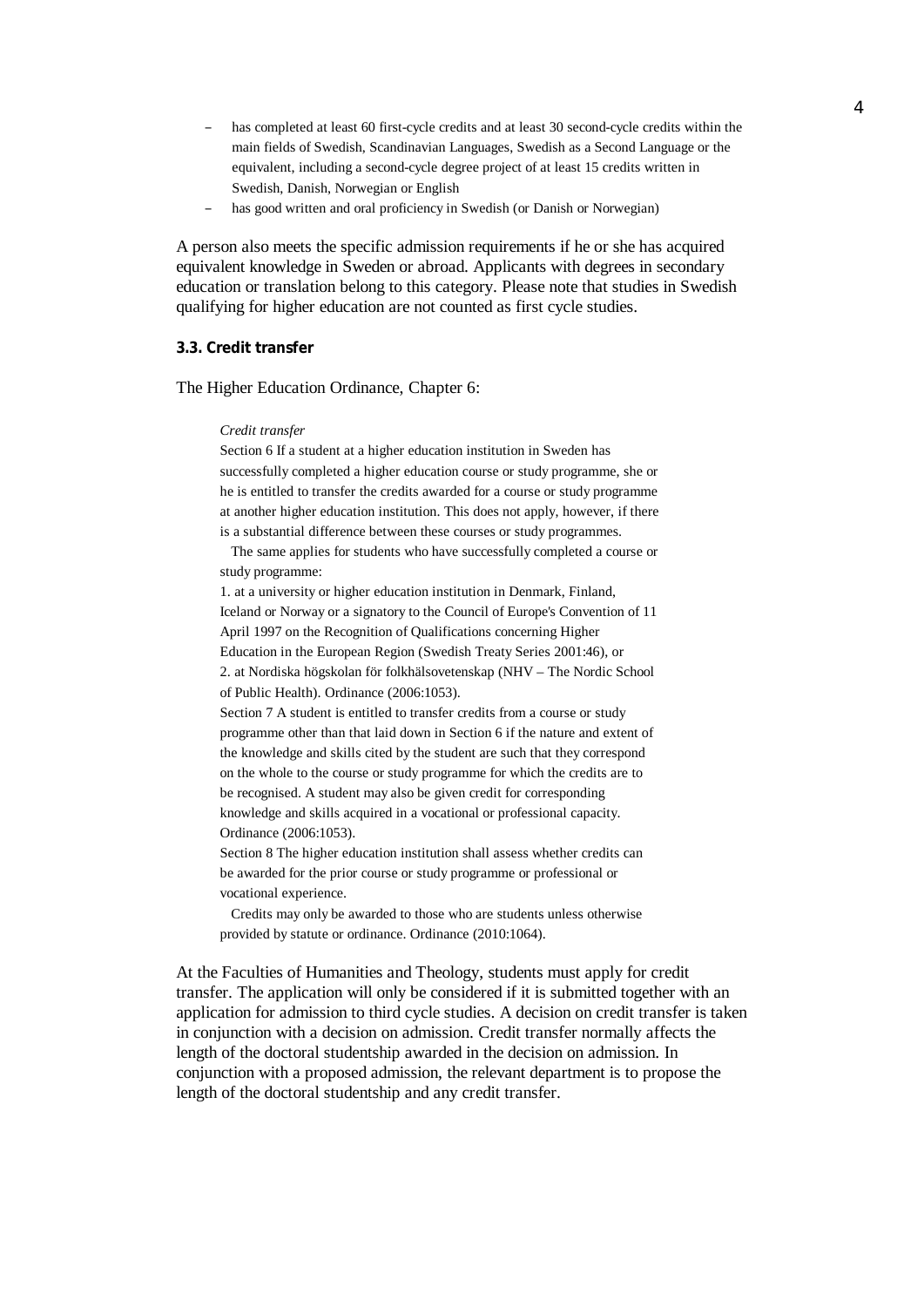- has completed at least 60 first-cycle credits and at least 30 second-cycle credits within the main fields of Swedish, Scandinavian Languages, Swedish as a Second Language or the equivalent, including a second-cycle degree project of at least 15 credits written in Swedish, Danish, Norwegian or English
- has good written and oral proficiency in Swedish (or Danish or Norwegian)

A person also meets the specific admission requirements if he or she has acquired equivalent knowledge in Sweden or abroad. Applicants with degrees in secondary education or translation belong to this category. Please note that studies in Swedish qualifying for higher education are not counted as first cycle studies.

#### **3.3. Credit transfer**

The Higher Education Ordinance, Chapter 6:

#### *Credit transfer*

Section 6 If a student at a higher education institution in Sweden has successfully completed a higher education course or study programme, she or he is entitled to transfer the credits awarded for a course or study programme at another higher education institution. This does not apply, however, if there is a substantial difference between these courses or study programmes.

 The same applies for students who have successfully completed a course or study programme:

1. at a university or higher education institution in Denmark, Finland, Iceland or Norway or a signatory to the Council of Europe's Convention of 11 April 1997 on the Recognition of Qualifications concerning Higher Education in the European Region (Swedish Treaty Series 2001:46), or 2. at Nordiska högskolan för folkhälsovetenskap (NHV – The Nordic School of Public Health). Ordinance (2006:1053).

Section 7 A student is entitled to transfer credits from a course or study programme other than that laid down in Section 6 if the nature and extent of the knowledge and skills cited by the student are such that they correspond on the whole to the course or study programme for which the credits are to be recognised. A student may also be given credit for corresponding knowledge and skills acquired in a vocational or professional capacity. Ordinance (2006:1053).

Section 8 The higher education institution shall assess whether credits can be awarded for the prior course or study programme or professional or vocational experience.

 Credits may only be awarded to those who are students unless otherwise provided by statute or ordinance. Ordinance (2010:1064).

At the Faculties of Humanities and Theology, students must apply for credit transfer. The application will only be considered if it is submitted together with an application for admission to third cycle studies. A decision on credit transfer is taken in conjunction with a decision on admission. Credit transfer normally affects the length of the doctoral studentship awarded in the decision on admission. In conjunction with a proposed admission, the relevant department is to propose the length of the doctoral studentship and any credit transfer.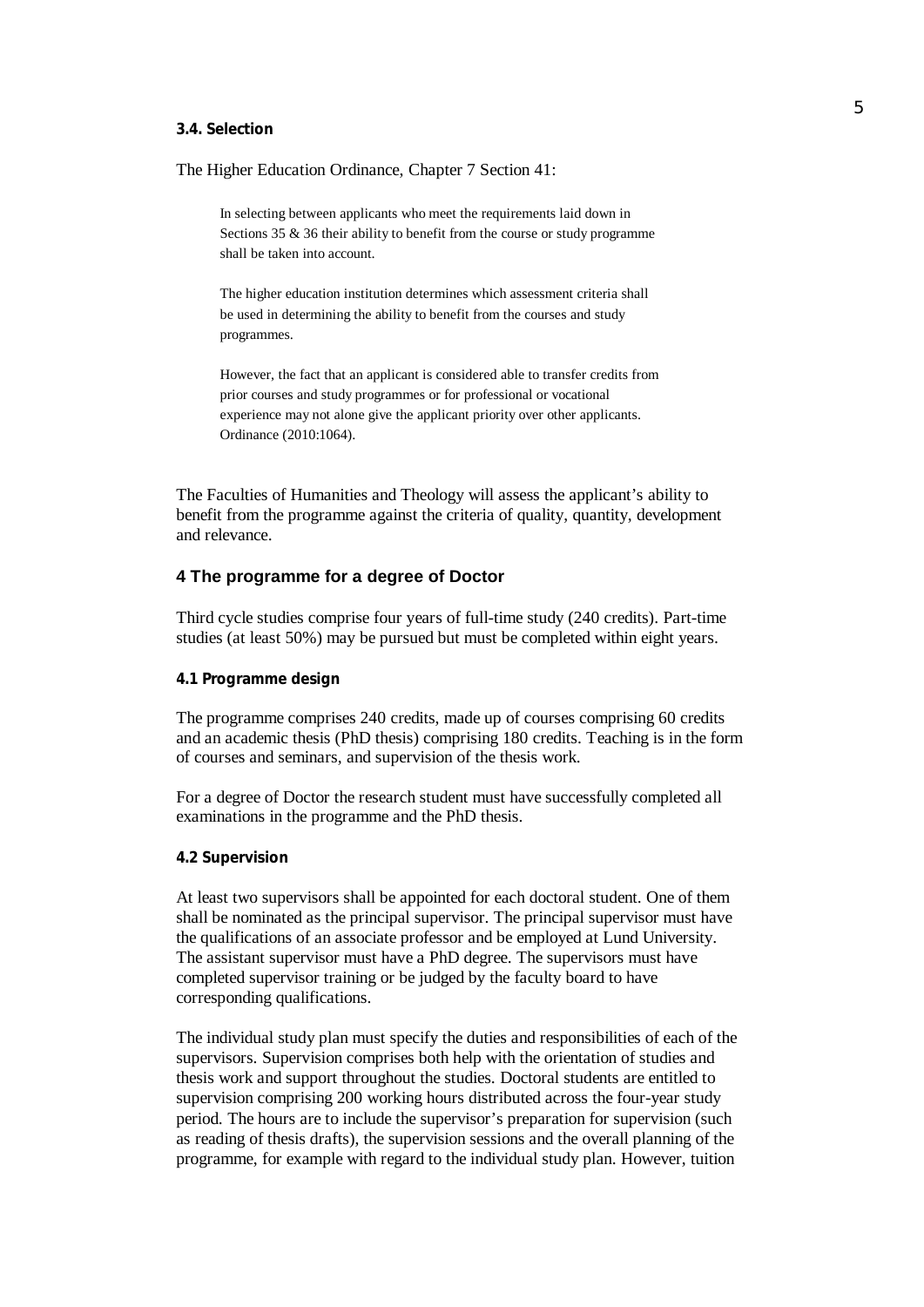#### **3.4. Selection**

The Higher Education Ordinance, Chapter 7 Section 41:

In selecting between applicants who meet the requirements laid down in Sections 35 & 36 their ability to benefit from the course or study programme shall be taken into account.

The higher education institution determines which assessment criteria shall be used in determining the ability to benefit from the courses and study programmes.

However, the fact that an applicant is considered able to transfer credits from prior courses and study programmes or for professional or vocational experience may not alone give the applicant priority over other applicants. Ordinance (2010:1064).

The Faculties of Humanities and Theology will assess the applicant's ability to benefit from the programme against the criteria of quality, quantity, development and relevance.

## **4 The programme for a degree of Doctor**

Third cycle studies comprise four years of full-time study (240 credits). Part-time studies (at least 50%) may be pursued but must be completed within eight years.

#### **4.1 Programme design**

The programme comprises 240 credits, made up of courses comprising 60 credits and an academic thesis (PhD thesis) comprising 180 credits. Teaching is in the form of courses and seminars, and supervision of the thesis work.

For a degree of Doctor the research student must have successfully completed all examinations in the programme and the PhD thesis.

### **4.2 Supervision**

At least two supervisors shall be appointed for each doctoral student. One of them shall be nominated as the principal supervisor. The principal supervisor must have the qualifications of an associate professor and be employed at Lund University. The assistant supervisor must have a PhD degree. The supervisors must have completed supervisor training or be judged by the faculty board to have corresponding qualifications.

The individual study plan must specify the duties and responsibilities of each of the supervisors. Supervision comprises both help with the orientation of studies and thesis work and support throughout the studies. Doctoral students are entitled to supervision comprising 200 working hours distributed across the four-year study period. The hours are to include the supervisor's preparation for supervision (such as reading of thesis drafts), the supervision sessions and the overall planning of the programme, for example with regard to the individual study plan. However, tuition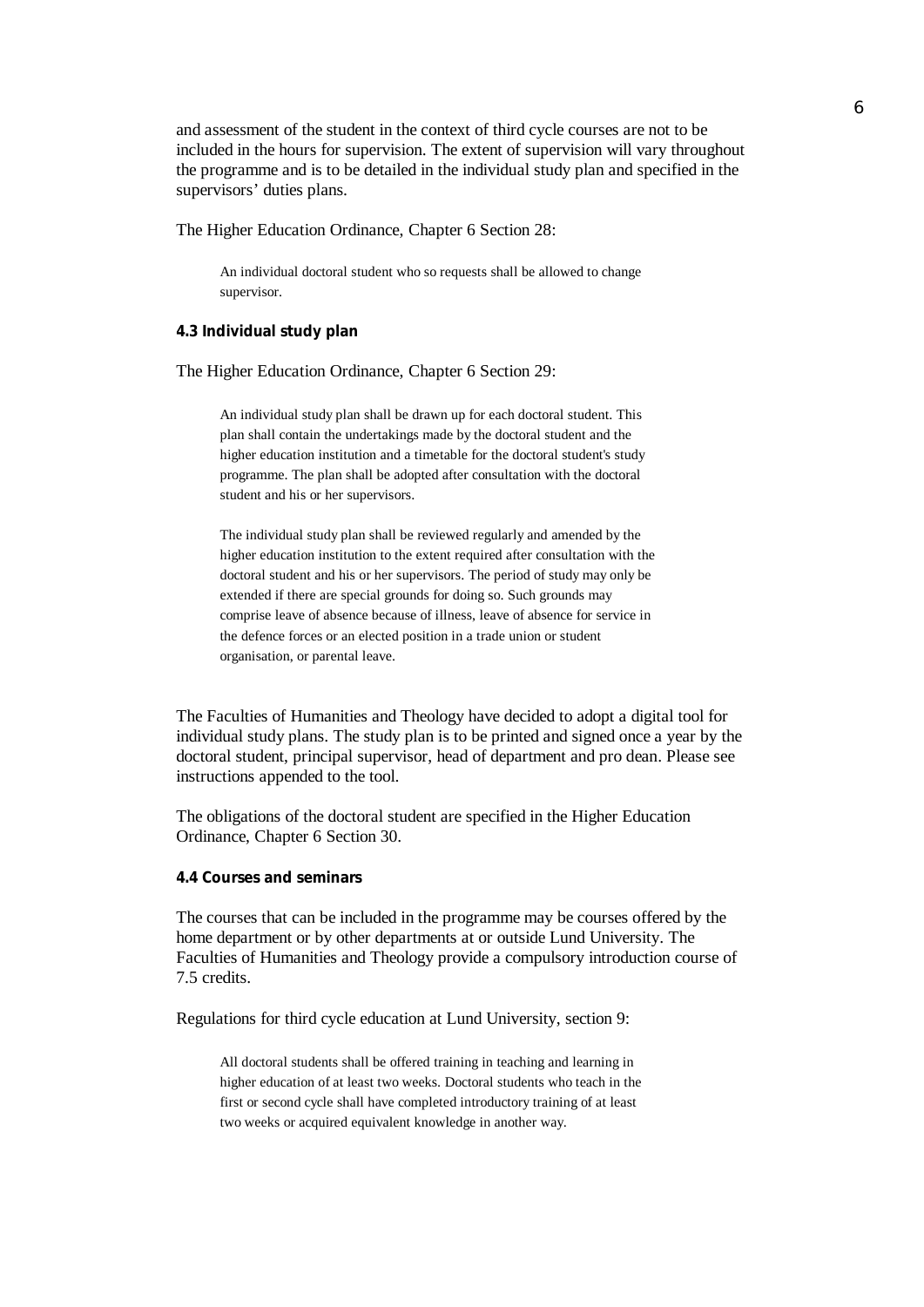and assessment of the student in the context of third cycle courses are not to be included in the hours for supervision. The extent of supervision will vary throughout the programme and is to be detailed in the individual study plan and specified in the supervisors' duties plans.

The Higher Education Ordinance, Chapter 6 Section 28:

An individual doctoral student who so requests shall be allowed to change supervisor.

**4.3 Individual study plan**

The Higher Education Ordinance, Chapter 6 Section 29:

An individual study plan shall be drawn up for each doctoral student. This plan shall contain the undertakings made by the doctoral student and the higher education institution and a timetable for the doctoral student's study programme. The plan shall be adopted after consultation with the doctoral student and his or her supervisors.

The individual study plan shall be reviewed regularly and amended by the higher education institution to the extent required after consultation with the doctoral student and his or her supervisors. The period of study may only be extended if there are special grounds for doing so. Such grounds may comprise leave of absence because of illness, leave of absence for service in the defence forces or an elected position in a trade union or student organisation, or parental leave.

The Faculties of Humanities and Theology have decided to adopt a digital tool for individual study plans. The study plan is to be printed and signed once a year by the doctoral student, principal supervisor, head of department and pro dean. Please see instructions appended to the tool.

The obligations of the doctoral student are specified in the Higher Education Ordinance, Chapter 6 Section 30.

**4.4 Courses and seminars**

The courses that can be included in the programme may be courses offered by the home department or by other departments at or outside Lund University. The Faculties of Humanities and Theology provide a compulsory introduction course of 7.5 credits.

Regulations for third cycle education at Lund University, section 9:

All doctoral students shall be offered training in teaching and learning in higher education of at least two weeks. Doctoral students who teach in the first or second cycle shall have completed introductory training of at least two weeks or acquired equivalent knowledge in another way.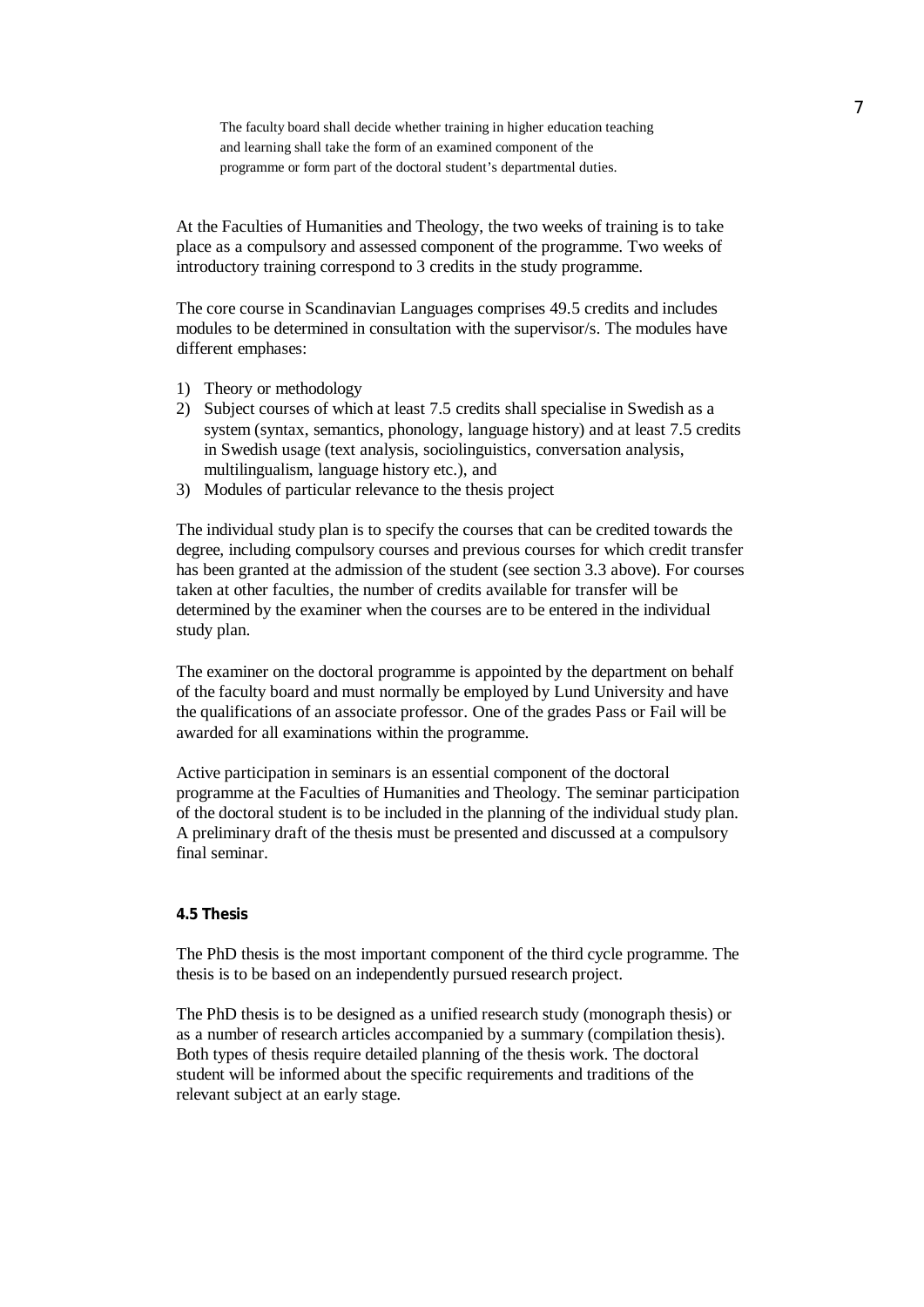The faculty board shall decide whether training in higher education teaching and learning shall take the form of an examined component of the programme or form part of the doctoral student's departmental duties.

At the Faculties of Humanities and Theology, the two weeks of training is to take place as a compulsory and assessed component of the programme. Two weeks of introductory training correspond to 3 credits in the study programme.

The core course in Scandinavian Languages comprises 49.5 credits and includes modules to be determined in consultation with the supervisor/s. The modules have different emphases:

- 1) Theory or methodology
- 2) Subject courses of which at least 7.5 credits shall specialise in Swedish as a system (syntax, semantics, phonology, language history) and at least 7.5 credits in Swedish usage (text analysis, sociolinguistics, conversation analysis, multilingualism, language history etc.), and
- 3) Modules of particular relevance to the thesis project

The individual study plan is to specify the courses that can be credited towards the degree, including compulsory courses and previous courses for which credit transfer has been granted at the admission of the student (see section 3.3 above). For courses taken at other faculties, the number of credits available for transfer will be determined by the examiner when the courses are to be entered in the individual study plan.

The examiner on the doctoral programme is appointed by the department on behalf of the faculty board and must normally be employed by Lund University and have the qualifications of an associate professor. One of the grades Pass or Fail will be awarded for all examinations within the programme.

Active participation in seminars is an essential component of the doctoral programme at the Faculties of Humanities and Theology. The seminar participation of the doctoral student is to be included in the planning of the individual study plan. A preliminary draft of the thesis must be presented and discussed at a compulsory final seminar.

### **4.5 Thesis**

The PhD thesis is the most important component of the third cycle programme. The thesis is to be based on an independently pursued research project.

The PhD thesis is to be designed as a unified research study (monograph thesis) or as a number of research articles accompanied by a summary (compilation thesis). Both types of thesis require detailed planning of the thesis work. The doctoral student will be informed about the specific requirements and traditions of the relevant subject at an early stage.